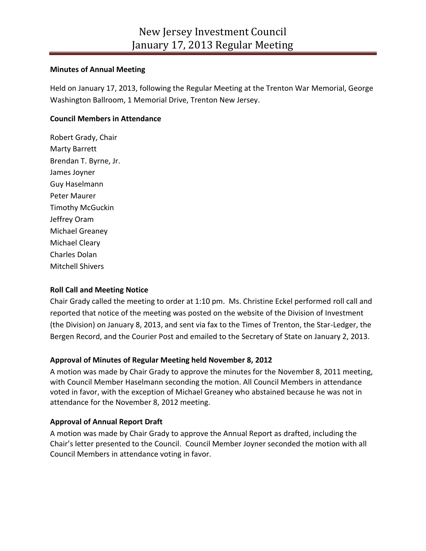### **Minutes of Annual Meeting**

Held on January 17, 2013, following the Regular Meeting at the Trenton War Memorial, George Washington Ballroom, 1 Memorial Drive, Trenton New Jersey.

# **Council Members in Attendance**

Robert Grady, Chair Marty Barrett Brendan T. Byrne, Jr. James Joyner Guy Haselmann Peter Maurer Timothy McGuckin Jeffrey Oram Michael Greaney Michael Cleary Charles Dolan Mitchell Shivers

# **Roll Call and Meeting Notice**

Chair Grady called the meeting to order at 1:10 pm. Ms. Christine Eckel performed roll call and reported that notice of the meeting was posted on the website of the Division of Investment (the Division) on January 8, 2013, and sent via fax to the Times of Trenton, the Star-Ledger, the Bergen Record, and the Courier Post and emailed to the Secretary of State on January 2, 2013.

# **Approval of Minutes of Regular Meeting held November 8, 2012**

A motion was made by Chair Grady to approve the minutes for the November 8, 2011 meeting, with Council Member Haselmann seconding the motion. All Council Members in attendance voted in favor, with the exception of Michael Greaney who abstained because he was not in attendance for the November 8, 2012 meeting.

# **Approval of Annual Report Draft**

A motion was made by Chair Grady to approve the Annual Report as drafted, including the Chair's letter presented to the Council. Council Member Joyner seconded the motion with all Council Members in attendance voting in favor.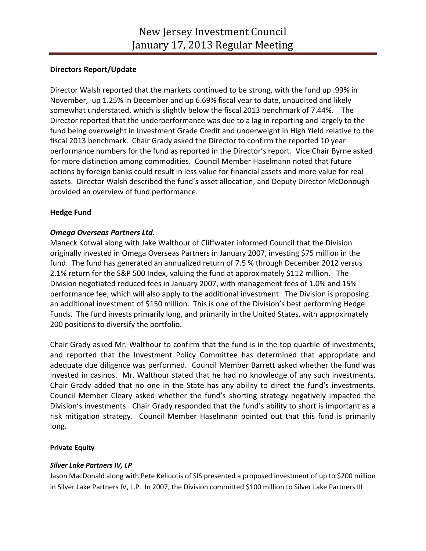# **Directors Report/Update**

Director Walsh reported that the markets continued to be strong, with the fund up .99% in November, up 1.25% in December and up 6.69% fiscal year to date, unaudited and likely somewhat understated, which is slightly below the fiscal 2013 benchmark of 7.44%. The Director reported that the underperformance was due to a lag in reporting and largely to the fund being overweight in Investment Grade Credit and underweight in High Yield relative to the fiscal 2013 benchmark. Chair Grady asked the Director to confirm the reported 10 year performance numbers for the fund as reported in the Director's report. Vice Chair Byrne asked for more distinction among commodities. Council Member Haselmann noted that future actions by foreign banks could result in less value for financial assets and more value for real assets. Director Walsh described the fund's asset allocation, and Deputy Director McDonough provided an overview of fund performance.

## **Hedge Fund**

## *Omega Overseas Partners Ltd.*

Maneck Kotwal along with Jake Walthour of Cliffwater informed Council that the Division originally invested in Omega Overseas Partners in January 2007, investing \$75 million in the fund. The fund has generated an annualized return of 7.5 % through December 2012 versus 2.1% return for the S&P 500 Index, valuing the fund at approximately \$112 million. The Division negotiated reduced fees in January 2007, with management fees of 1.0% and 15% performance fee, which will also apply to the additional investment. The Division is proposing an additional investment of \$150 million. This is one of the Division's best performing Hedge Funds. The fund invests primarily long, and primarily in the United States, with approximately 200 positions to diversify the portfolio.

Chair Grady asked Mr. Walthour to confirm that the fund is in the top quartile of investments, and reported that the Investment Policy Committee has determined that appropriate and adequate due diligence was performed. Council Member Barrett asked whether the fund was invested in casinos. Mr. Walthour stated that he had no knowledge of any such investments. Chair Grady added that no one in the State has any ability to direct the fund's investments. Council Member Cleary asked whether the fund's shorting strategy negatively impacted the Division's investments. Chair Grady responded that the fund's ability to short is important as a risk mitigation strategy. Council Member Haselmann pointed out that this fund is primarily long.

### **Private Equity**

### *Silver Lake Partners IV, LP*

Jason MacDonald along with Pete Keliuotis of SIS presented a proposed investment of up to \$200 million in Silver Lake Partners IV, L.P. In 2007, the Division committed \$100 million to Silver Lake Partners III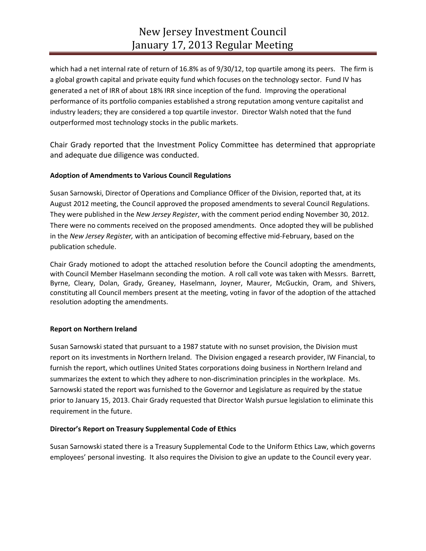which had a net internal rate of return of 16.8% as of 9/30/12, top quartile among its peers. The firm is a global growth capital and private equity fund which focuses on the technology sector. Fund IV has generated a net of IRR of about 18% IRR since inception of the fund. Improving the operational performance of its portfolio companies established a strong reputation among venture capitalist and industry leaders; they are considered a top quartile investor. Director Walsh noted that the fund outperformed most technology stocks in the public markets.

Chair Grady reported that the Investment Policy Committee has determined that appropriate and adequate due diligence was conducted.

## **Adoption of Amendments to Various Council Regulations**

Susan Sarnowski, Director of Operations and Compliance Officer of the Division, reported that, at its August 2012 meeting, the Council approved the proposed amendments to several Council Regulations. They were published in the *New Jersey Register*, with the comment period ending November 30, 2012. There were no comments received on the proposed amendments. Once adopted they will be published in the *New Jersey Register,* with an anticipation of becoming effective mid-February, based on the publication schedule.

Chair Grady motioned to adopt the attached resolution before the Council adopting the amendments, with Council Member Haselmann seconding the motion. A roll call vote was taken with Messrs. Barrett, Byrne, Cleary, Dolan, Grady, Greaney, Haselmann, Joyner, Maurer, McGuckin, Oram, and Shivers, constituting all Council members present at the meeting, voting in favor of the adoption of the attached resolution adopting the amendments.

### **Report on Northern Ireland**

Susan Sarnowski stated that pursuant to a 1987 statute with no sunset provision, the Division must report on its investments in Northern Ireland. The Division engaged a research provider, IW Financial, to furnish the report, which outlines United States corporations doing business in Northern Ireland and summarizes the extent to which they adhere to non-discrimination principles in the workplace. Ms. Sarnowski stated the report was furnished to the Governor and Legislature as required by the statue prior to January 15, 2013. Chair Grady requested that Director Walsh pursue legislation to eliminate this requirement in the future.

### **Director's Report on Treasury Supplemental Code of Ethics**

Susan Sarnowski stated there is a Treasury Supplemental Code to the Uniform Ethics Law, which governs employees' personal investing. It also requires the Division to give an update to the Council every year.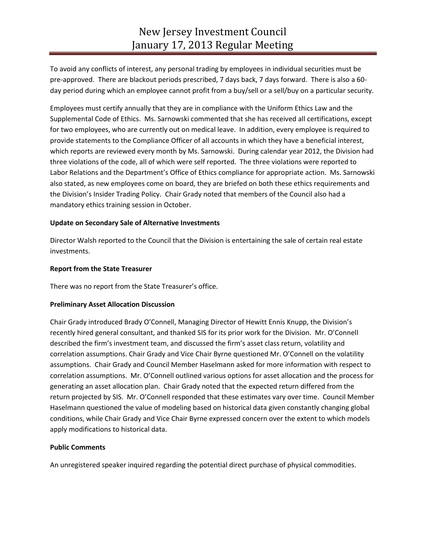To avoid any conflicts of interest, any personal trading by employees in individual securities must be pre-approved. There are blackout periods prescribed, 7 days back, 7 days forward. There is also a 60 day period during which an employee cannot profit from a buy/sell or a sell/buy on a particular security.

Employees must certify annually that they are in compliance with the Uniform Ethics Law and the Supplemental Code of Ethics. Ms. Sarnowski commented that she has received all certifications, except for two employees, who are currently out on medical leave. In addition, every employee is required to provide statements to the Compliance Officer of all accounts in which they have a beneficial interest, which reports are reviewed every month by Ms. Sarnowski. During calendar year 2012, the Division had three violations of the code, all of which were self reported. The three violations were reported to Labor Relations and the Department's Office of Ethics compliance for appropriate action. Ms. Sarnowski also stated, as new employees come on board, they are briefed on both these ethics requirements and the Division's Insider Trading Policy. Chair Grady noted that members of the Council also had a mandatory ethics training session in October.

#### **Update on Secondary Sale of Alternative Investments**

Director Walsh reported to the Council that the Division is entertaining the sale of certain real estate investments.

#### **Report from the State Treasurer**

There was no report from the State Treasurer's office.

### **Preliminary Asset Allocation Discussion**

Chair Grady introduced Brady O'Connell, Managing Director of Hewitt Ennis Knupp, the Division's recently hired general consultant, and thanked SIS for its prior work for the Division. Mr. O'Connell described the firm's investment team, and discussed the firm's asset class return, volatility and correlation assumptions. Chair Grady and Vice Chair Byrne questioned Mr. O'Connell on the volatility assumptions. Chair Grady and Council Member Haselmann asked for more information with respect to correlation assumptions. Mr. O'Connell outlined various options for asset allocation and the process for generating an asset allocation plan. Chair Grady noted that the expected return differed from the return projected by SIS. Mr. O'Connell responded that these estimates vary over time. Council Member Haselmann questioned the value of modeling based on historical data given constantly changing global conditions, while Chair Grady and Vice Chair Byrne expressed concern over the extent to which models apply modifications to historical data.

#### **Public Comments**

An unregistered speaker inquired regarding the potential direct purchase of physical commodities.